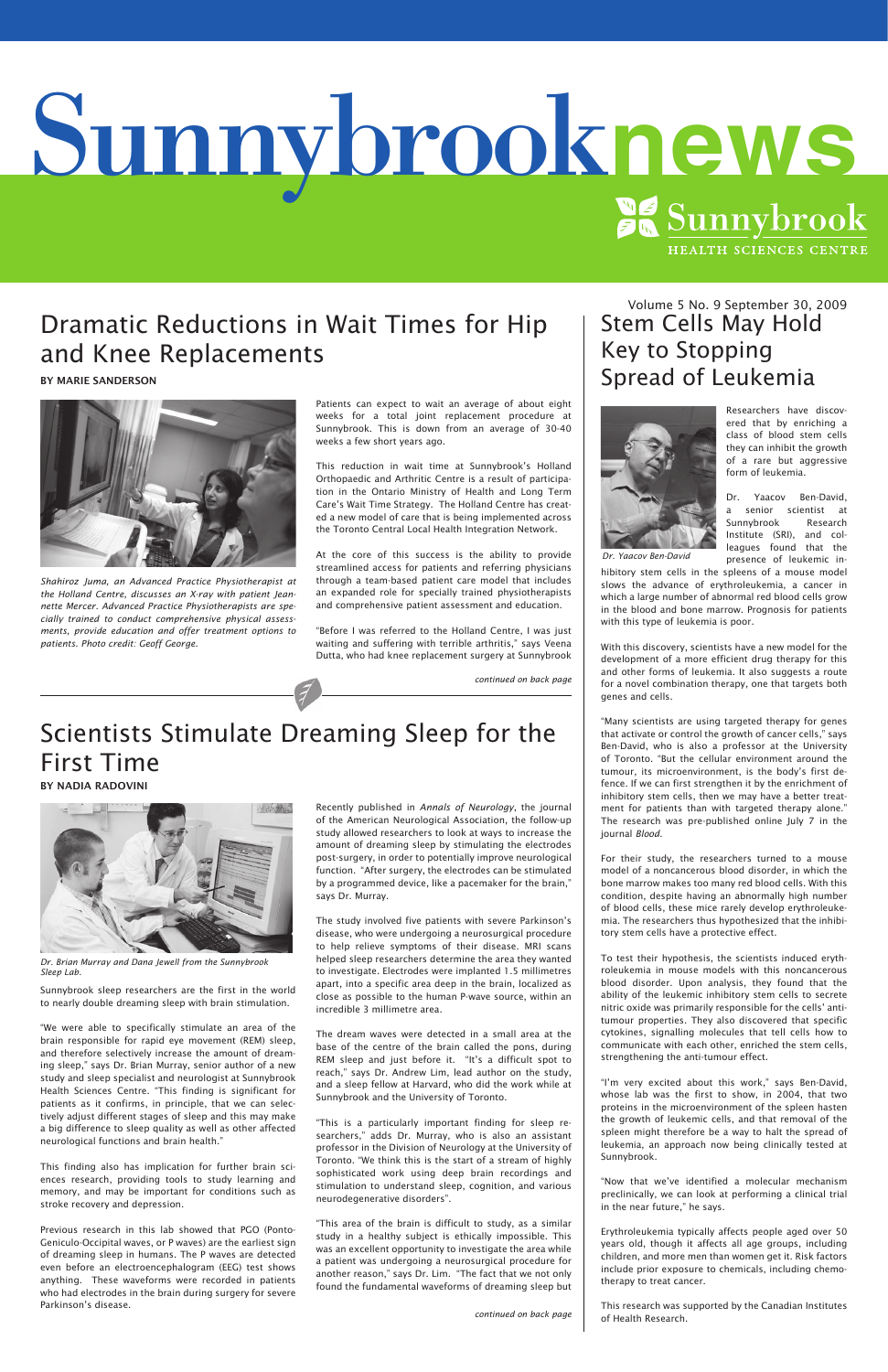# Scientists Stimulate Dreaming Sleep for the First Time

By Nadia Radovini

Sunnybrook sleep researchers are the first in the world to nearly double dreaming sleep with brain stimulation.

"We were able to specifically stimulate an area of the brain responsible for rapid eye movement (REM) sleep, and therefore selectively increase the amount of dreaming sleep," says Dr. Brian Murray, senior author of a new study and sleep specialist and neurologist at Sunnybrook Health Sciences Centre. "This finding is significant for patients as it confirms, in principle, that we can selectively adjust different stages of sleep and this may make a big difference to sleep quality as well as other affected neurological functions and brain health."

This finding also has implication for further brain sciences research, providing tools to study learning and memory, and may be important for conditions such as stroke recovery and depression.

Previous research in this lab showed that PGO (Ponto-Geniculo-Occipital waves, or P waves) are the earliest sign of dreaming sleep in humans. The P waves are detected even before an electroencephalogram (EEG) test shows anything. These waveforms were recorded in patients who had electrodes in the brain during surgery for severe Parkinson's disease.

Recently published in *Annals of Neurology*, the journal of the American Neurological Association, the follow-up study allowed researchers to look at ways to increase the amount of dreaming sleep by stimulating the electrodes post-surgery, in order to potentially improve neurological function. "After surgery, the electrodes can be stimulated by a programmed device, like a pacemaker for the brain," says Dr. Murray.

Volume 5 No. 9 September 30, 2009 Stem Cells May Hold Key to Stopping Spread of Leukemia



Yaacov Ben-David, a senior scientist at Sunnybrook Research Institute (SRI), and colleagues found that the presence of leukemic in-

The study involved five patients with severe Parkinson's disease, who were undergoing a neurosurgical procedure to help relieve symptoms of their disease. MRI scans helped sleep researchers determine the area they wanted to investigate. Electrodes were implanted 1.5 millimetres apart, into a specific area deep in the brain, localized as close as possible to the human P-wave source, within an

incredible 3 millimetre area.

The dream waves were detected in a small area at the base of the centre of the brain called the pons, during REM sleep and just before it. "It's a difficult spot to reach," says Dr. Andrew Lim, lead author on the study, and a sleep fellow at Harvard, who did the work while at Sunnybrook and the University of Toronto.

"This is a particularly important finding for sleep researchers," adds Dr. Murray, who is also an assistant professor in the Division of Neurology at the University of Toronto. "We think this is the start of a stream of highly sophisticated work using deep brain recordings and stimulation to understand sleep, cognition, and various neurodegenerative disorders".

"This area of the brain is difficult to study, as a similar study in a healthy subject is ethically impossible. This was an excellent opportunity to investigate the area while a patient was undergoing a neurosurgical procedure for another reason," says Dr. Lim. "The fact that we not only found the fundamental waveforms of dreaming sleep but

# Dramatic Reductions in Wait Times for Hip and Knee Replacements

By Marie Sanderson



Researchers have discovered that by enriching a class of blood stem cells they can inhibit the growth of a rare but aggressive form of leukemia.

hibitory stem cells in the spleens of a mouse model slows the advance of erythroleukemia, a cancer in which a large number of abnormal red blood cells grow in the blood and bone marrow. Prognosis for patients with this type of leukemia is poor.

With this discovery, scientists have a new model for the development of a more efficient drug therapy for this and other forms of leukemia. It also suggests a route for a novel combination therapy, one that targets both genes and cells.

"Many scientists are using targeted therapy for genes that activate or control the growth of cancer cells," says Ben-David, who is also a professor at the University of Toronto. "But the cellular environment around the tumour, its microenvironment, is the body's first defence. If we can first strengthen it by the enrichment of inhibitory stem cells, then we may have a better treatment for patients than with targeted therapy alone." The research was pre-published online July 7 in the journal *Blood*.

For their study, the researchers turned to a mouse model of a noncancerous blood disorder, in which the bone marrow makes too many red blood cells. With this condition, despite having an abnormally high number of blood cells, these mice rarely develop erythroleukemia. The researchers thus hypothesized that the inhibitory stem cells have a protective effect.

To test their hypothesis, the scientists induced erythroleukemia in mouse models with this noncancerous blood disorder. Upon analysis, they found that the ability of the leukemic inhibitory stem cells to secrete nitric oxide was primarily responsible for the cells' antitumour properties. They also discovered that specific cytokines, signalling molecules that tell cells how to communicate with each other, enriched the stem cells, strengthening the anti-tumour effect.

"I'm very excited about this work," says Ben-David, whose lab was the first to show, in 2004, that two proteins in the microenvironment of the spleen hasten the growth of leukemic cells, and that removal of the spleen might therefore be a way to halt the spread of leukemia, an approach now being clinically tested at Sunnybrook.

"Now that we've identified a molecular mechanism preclinically, we can look at performing a clinical trial in the near future," he says.

Erythroleukemia typically affects people aged over 50 years old, though it affects all age groups, including children, and more men than women get it. Risk factors include prior exposure to chemicals, including chemotherapy to treat cancer.

This research was supported by the Canadian Institutes of Health Research.

Patients can expect to wait an average of about eight weeks for a total joint replacement procedure at Sunnybrook. This is down from an average of 30-40 weeks a few short years ago.

This reduction in wait time at Sunnybrook's Holland Orthopaedic and Arthritic Centre is a result of participation in the Ontario Ministry of Health and Long Term Care's Wait Time Strategy. The Holland Centre has created a new model of care that is being implemented across the Toronto Central Local Health Integration Network.

At the core of this success is the ability to provide streamlined access for patients and referring physicians through a team-based patient care model that includes an expanded role for specially trained physiotherapists and comprehensive patient assessment and education.

"Before I was referred to the Holland Centre, I was just waiting and suffering with terrible arthritis," says Veena Dutta, who had knee replacement surgery at Sunnybrook

*continued on back page*

*continued on back page*

*Shahiroz Juma, an Advanced Practice Physiotherapist at the Holland Centre, discusses an X-ray with patient Jeannette Mercer. Advanced Practice Physiotherapists are specially trained to conduct comprehensive physical assessments, provide education and offer treatment options to patients. Photo credit: Geoff George.*

*Dr. Yaacov Ben-David*



*Dr. Brian Murray and Dana Jewell from the Sunnybrook Sleep Lab.* 

# Sunnybrook**news**

HEALTH SCIENCES CENTRE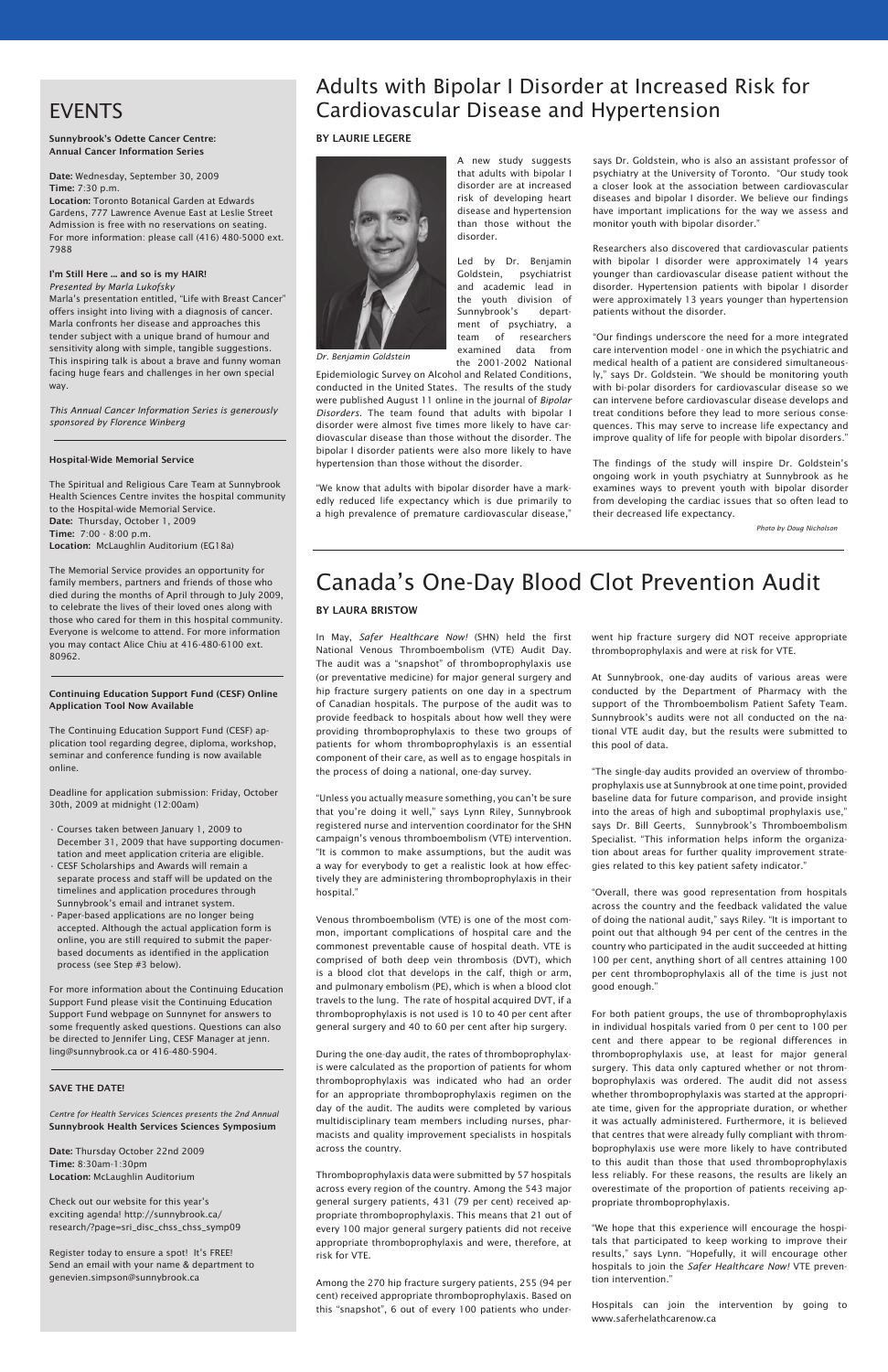A new study suggests that adults with bipolar I disorder are at increased risk of developing heart disease and hypertension than those without the

disorder.

Led by Dr. Benjamin Goldstein, psychiatrist and academic lead in the youth division of Sunnybrook's department of psychiatry, a team of researchers examined data from the 2001-2002 National

Epidemiologic Survey on Alcohol and Related Conditions, conducted in the United States. The results of the study were published August 11 online in the journal of *Bipolar Disorders*. The team found that adults with bipolar I disorder were almost five times more likely to have cardiovascular disease than those without the disorder. The bipolar I disorder patients were also more likely to have hypertension than those without the disorder.

"We know that adults with bipolar disorder have a markedly reduced life expectancy which is due primarily to a high prevalence of premature cardiovascular disease," says Dr. Goldstein, who is also an assistant professor of psychiatry at the University of Toronto. "Our study took a closer look at the association between cardiovascular diseases and bipolar I disorder. We believe our findings have important implications for the way we assess and monitor youth with bipolar disorder."

Researchers also discovered that cardiovascular patients with bipolar I disorder were approximately 14 years younger than cardiovascular disease patient without the disorder. Hypertension patients with bipolar I disorder were approximately 13 years younger than hypertension patients without the disorder.

"Our findings underscore the need for a more integrated care intervention model - one in which the psychiatric and medical health of a patient are considered simultaneously," says Dr. Goldstein. "We should be monitoring youth with bi-polar disorders for cardiovascular disease so we can intervene before cardiovascular disease develops and treat conditions before they lead to more serious consequences. This may serve to increase life expectancy and improve quality of life for people with bipolar disorders."

The findings of the study will inspire Dr. Goldstein's ongoing work in youth psychiatry at Sunnybrook as he examines ways to prevent youth with bipolar disorder from developing the cardiac issues that so often lead to their decreased life expectancy.

# Adults with Bipolar I Disorder at Increased Risk for Cardiovascular Disease and Hypertension

### By Laurie Legere

# Canada's One-Day Blood Clot Prevention Audit

### By Laura Bristow

In May, *Safer Healthcare Now!* (SHN) held the first National Venous Thromboembolism (VTE) Audit Day. The audit was a "snapshot" of thromboprophylaxis use (or preventative medicine) for major general surgery and hip fracture surgery patients on one day in a spectrum of Canadian hospitals. The purpose of the audit was to provide feedback to hospitals about how well they were providing thromboprophylaxis to these two groups of patients for whom thromboprophylaxis is an essential component of their care, as well as to engage hospitals in the process of doing a national, one-day survey.

"Unless you actually measure something, you can't be sure that you're doing it well," says Lynn Riley, Sunnybrook registered nurse and intervention coordinator for the SHN campaign's venous thromboembolism (VTE) intervention. "It is common to make assumptions, but the audit was a way for everybody to get a realistic look at how effectively they are administering thromboprophylaxis in their hospital."

Venous thromboembolism (VTE) is one of the most common, important complications of hospital care and the commonest preventable cause of hospital death. VTE is comprised of both deep vein thrombosis (DVT), which is a blood clot that develops in the calf, thigh or arm, and pulmonary embolism (PE), which is when a blood clot travels to the lung. The rate of hospital acquired DVT, if a

thromboprophylaxis is not used is 10 to 40 per cent after general surgery and 40 to 60 per cent after hip surgery.

During the one-day audit, the rates of thromboprophylaxis were calculated as the proportion of patients for whom thromboprophylaxis was indicated who had an order for an appropriate thromboprophylaxis regimen on the day of the audit. The audits were completed by various multidisciplinary team members including nurses, pharmacists and quality improvement specialists in hospitals across the country.

Thromboprophylaxis data were submitted by 57 hospitals across every region of the country. Among the 543 major general surgery patients, 431 (79 per cent) received appropriate thromboprophylaxis. This means that 21 out of every 100 major general surgery patients did not receive appropriate thromboprophylaxis and were, therefore, at risk for VTE.

Among the 270 hip fracture surgery patients, 255 (94 per cent) received appropriate thromboprophylaxis. Based on this "snapshot", 6 out of every 100 patients who underwent hip fracture surgery did NOT receive appropriate thromboprophylaxis and were at risk for VTE.

At Sunnybrook, one-day audits of various areas were conducted by the Department of Pharmacy with the support of the Thromboembolism Patient Safety Team. Sunnybrook's audits were not all conducted on the national VTE audit day, but the results were submitted to this pool of data.

"The single-day audits provided an overview of thromboprophylaxis use at Sunnybrook at one time point, provided baseline data for future comparison, and provide insight into the areas of high and suboptimal prophylaxis use," says Dr. Bill Geerts, Sunnybrook's Thromboembolism Specialist. "This information helps inform the organization about areas for further quality improvement strategies related to this key patient safety indicator."

"Overall, there was good representation from hospitals across the country and the feedback validated the value of doing the national audit," says Riley. "It is important to point out that although 94 per cent of the centres in the country who participated in the audit succeeded at hitting 100 per cent, anything short of all centres attaining 100 per cent thromboprophylaxis all of the time is just not good enough."

For both patient groups, the use of thromboprophylaxis in individual hospitals varied from 0 per cent to 100 per cent and there appear to be regional differences in thromboprophylaxis use, at least for major general surgery. This data only captured whether or not thromboprophylaxis was ordered. The audit did not assess whether thromboprophylaxis was started at the appropriate time, given for the appropriate duration, or whether it was actually administered. Furthermore, it is believed that centres that were already fully compliant with thromboprophylaxis use were more likely to have contributed to this audit than those that used thromboprophylaxis less reliably. For these reasons, the results are likely an overestimate of the proportion of patients receiving appropriate thromboprophylaxis.

"We hope that this experience will encourage the hospitals that participated to keep working to improve their results," says Lynn. "Hopefully, it will encourage other hospitals to join the *Safer Healthcare Now!* VTE prevention intervention."

Hospitals can join the intervention by going to www.saferhelathcarenow.ca

# EVENTS

### Sunnybrook's Odette Cancer Centre: Annual Cancer Information Series

Date: Wednesday, September 30, 2009 Time: 7:30 p.m.

Location: Toronto Botanical Garden at Edwards Gardens, 777 Lawrence Avenue East at Leslie Street Admission is free with no reservations on seating. For more information: please call (416) 480-5000 ext. 7988

### I'm Still Here ... and so is my HAIR! *Presented by Marla Lukofsky*

Marla's presentation entitled, "Life with Breast Cancer" offers insight into living with a diagnosis of cancer. Marla confronts her disease and approaches this tender subject with a unique brand of humour and sensitivity along with simple, tangible suggestions. This inspiring talk is about a brave and funny woman facing huge fears and challenges in her own special way.

*This Annual Cancer Information Series is generously sponsored by Florence Winberg*

### Hospital-Wide Memorial Service

The Spiritual and Religious Care Team at Sunnybrook Health Sciences Centre invites the hospital community to the Hospital-wide Memorial Service. Date: Thursday, October 1, 2009 Time: 7:00 - 8:00 p.m. Location: McLaughlin Auditorium (EG18a)

The Memorial Service provides an opportunity for family members, partners and friends of those who died during the months of April through to July 2009, to celebrate the lives of their loved ones along with those who cared for them in this hospital community. Everyone is welcome to attend. For more information you may contact Alice Chiu at 416-480-6100 ext. 80962.

### Continuing Education Support Fund (CESF) Online Application Tool Now Available

The Continuing Education Support Fund (CESF) application tool regarding degree, diploma, workshop, seminar and conference funding is now available online.

Deadline for application submission: Friday, October 30th, 2009 at midnight (12:00am)

- Courses taken between January 1, 2009 to December 31, 2009 that have supporting documentation and meet application criteria are eligible.
- CESF Scholarships and Awards will remain a separate process and staff will be updated on the timelines and application procedures through Sunnybrook's email and intranet system.
- Paper-based applications are no longer being accepted. Although the actual application form is online, you are still required to submit the paperbased documents as identified in the application process (see Step #3 below).

For more information about the Continuing Education Support Fund please visit the Continuing Education

Support Fund webpage on Sunnynet for answers to some frequently asked questions. Questions can also be directed to Jennifer Ling, CESF Manager at jenn. ling@sunnybrook.ca or 416-480-5904.

### SAVE THE DATE!

*Centre for Health Services Sciences presents the 2nd Annual* Sunnybrook Health Services Sciences Symposium

Date: Thursday October 22nd 2009 Time: 8:30am-1:30pm Location: McLaughlin Auditorium

Check out our website for this year's exciting agenda! http://sunnybrook.ca/ research/?page=sri\_disc\_chss\_chss\_symp09

Register today to ensure a spot! It's FREE! Send an email with your name & department to genevien.simpson@sunnybrook.ca



*Dr. Benjamin Goldstein*

*Photo by Doug Nicholson*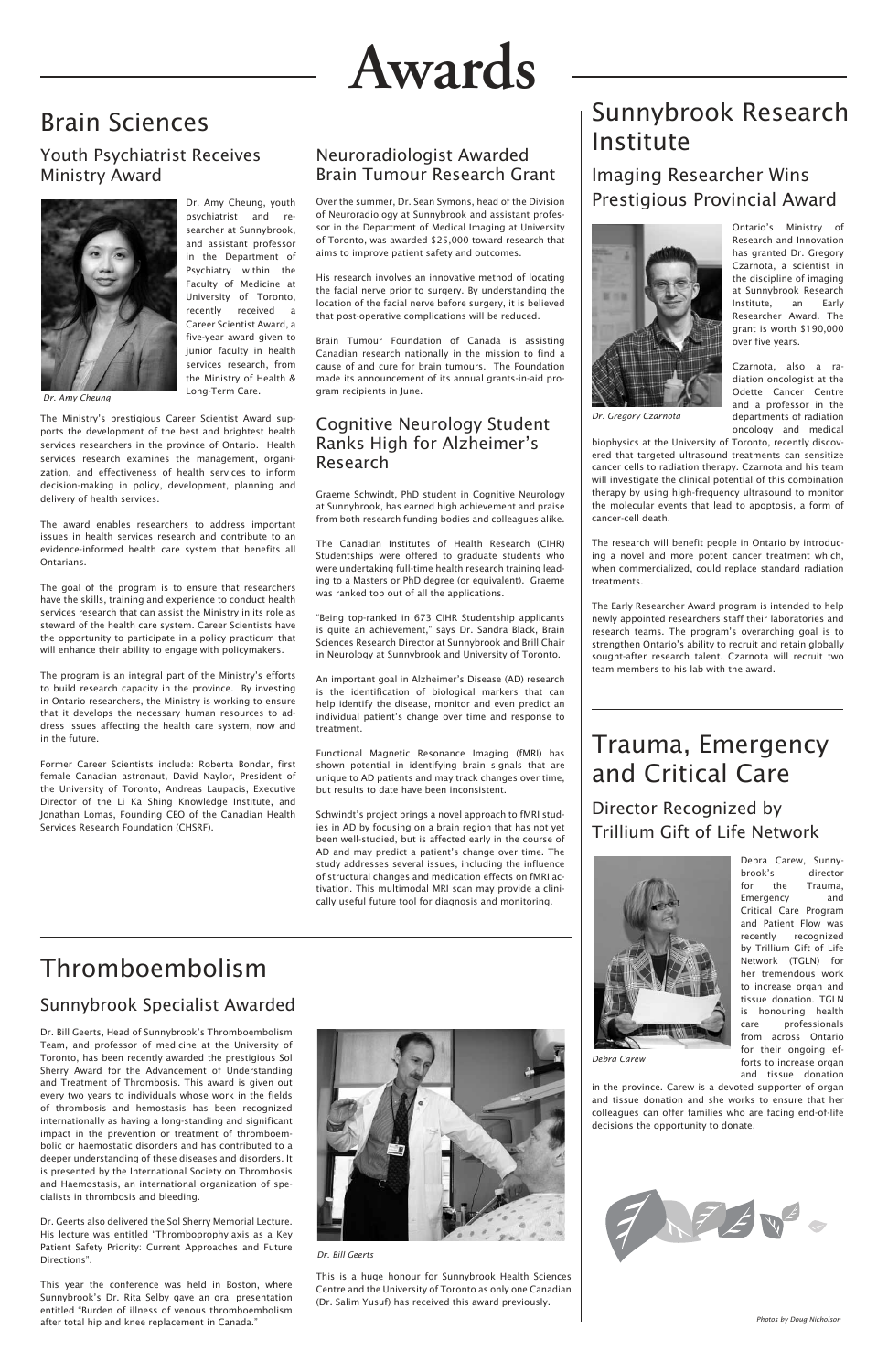# **Awards**

Dr. Bill Geerts, Head of Sunnybrook's Thromboembolism Team, and professor of medicine at the University of Toronto, has been recently awarded the prestigious Sol Sherry Award for the Advancement of Understanding and Treatment of Thrombosis. This award is given out every two years to individuals whose work in the fields of thrombosis and hemostasis has been recognized internationally as having a long-standing and significant impact in the prevention or treatment of thromboembolic or haemostatic disorders and has contributed to a deeper understanding of these diseases and disorders. It is presented by the International Society on Thrombosis and Haemostasis, an international organization of specialists in thrombosis and bleeding.

Dr. Geerts also delivered the Sol Sherry Memorial Lecture. His lecture was entitled "Thromboprophylaxis as a Key Patient Safety Priority: Current Approaches and Future Directions".

This year the conference was held in Boston, where Sunnybrook's Dr. Rita Selby gave an oral presentation entitled "Burden of illness of venous thromboembolism after total hip and knee replacement in Canada."



# Neuroradiologist Awarded Brain Tumour Research Grant

Over the summer, Dr. Sean Symons, head of the Division of Neuroradiology at Sunnybrook and assistant professor in the Department of Medical Imaging at University of Toronto, was awarded \$25,000 toward research that aims to improve patient safety and outcomes.

His research involves an innovative method of locating the facial nerve prior to surgery. By understanding the location of the facial nerve before surgery, it is believed that post-operative complications will be reduced.

Brain Tumour Foundation of Canada is assisting Canadian research nationally in the mission to find a cause of and cure for brain tumours. The Foundation made its announcement of its annual grants-in-aid program recipients in June.

# Cognitive Neurology Student Ranks High for Alzheimer's Research

Graeme Schwindt, PhD student in Cognitive Neurology at Sunnybrook, has earned high achievement and praise from both research funding bodies and colleagues alike.

The Canadian Institutes of Health Research (CIHR) Studentships were offered to graduate students who were undertaking full-time health research training leading to a Masters or PhD degree (or equivalent). Graeme was ranked top out of all the applications.

"Being top-ranked in 673 CIHR Studentship applicants is quite an achievement," says Dr. Sandra Black, Brain Sciences Research Director at Sunnybrook and Brill Chair in Neurology at Sunnybrook and University of Toronto.

An important goal in Alzheimer's Disease (AD) research is the identification of biological markers that can help identify the disease, monitor and even predict an individual patient's change over time and response to treatment.

Functional Magnetic Resonance Imaging (fMRI) has shown potential in identifying brain signals that are unique to AD patients and may track changes over time, but results to date have been inconsistent.

Schwindt's project brings a novel approach to fMRI studies in AD by focusing on a brain region that has not yet been well-studied, but is affected early in the course of AD and may predict a patient's change over time. The study addresses several issues, including the influence of structural changes and medication effects on fMRI activation. This multimodal MRI scan may provide a clinically useful future tool for diagnosis and monitoring.

Dr. Amy Cheung, youth psychiatrist and researcher at Sunnybrook, and assistant professor in the Department of Psychiatry within the Faculty of Medicine at University of Toronto, recently received a Career Scientist Award, a five-year award given to junior faculty in health services research, from the Ministry of Health & Long-Term Care.

# Brain Sciences Nunnybrook Research Institute

The Ministry's prestigious Career Scientist Award supports the development of the best and brightest health services researchers in the province of Ontario. Health services research examines the management, organization, and effectiveness of health services to inform decision-making in policy, development, planning and delivery of health services.

The award enables researchers to address important issues in health services research and contribute to an evidence-informed health care system that benefits all Ontarians.

The goal of the program is to ensure that researchers have the skills, training and experience to conduct health services research that can assist the Ministry in its role as steward of the health care system. Career Scientists have the opportunity to participate in a policy practicum that will enhance their ability to engage with policymakers.

The program is an integral part of the Ministry's efforts to build research capacity in the province. By investing in Ontario researchers, the Ministry is working to ensure that it develops the necessary human resources to address issues affecting the health care system, now and in the future.

Former Career Scientists include: Roberta Bondar, first female Canadian astronaut, David Naylor, President of the University of Toronto, Andreas Laupacis, Executive Director of the Li Ka Shing Knowledge Institute, and Jonathan Lomas, Founding CEO of the Canadian Health Services Research Foundation (CHSRF).

Imaging Researcher Wins Prestigious Provincial Award



Ontario's Ministry of Research and Innovation has granted Dr. Gregory Czarnota, a scientist in the discipline of imaging at Sunnybrook Research Institute, an Early Researcher Award. The grant is worth \$190,000 over five years.

Czarnota, also a radiation oncologist at the Odette Cancer Centre and a professor in the departments of radiation oncology and medical

biophysics at the University of Toronto, recently discovered that targeted ultrasound treatments can sensitize cancer cells to radiation therapy. Czarnota and his team will investigate the clinical potential of this combination therapy by using high-frequency ultrasound to monitor the molecular events that lead to apoptosis, a form of cancer-cell death.

The research will benefit people in Ontario by introducing a novel and more potent cancer treatment which, when commercialized, could replace standard radiation treatments.

The Early Researcher Award program is intended to help newly appointed researchers staff their laboratories and research teams. The program's overarching goal is to strengthen Ontario's ability to recruit and retain globally sought-after research talent. Czarnota will recruit two team members to his lab with the award.

Director Recognized by Trillium Gift of Life Network



Debra Carew, Sunnybrook's director for the Trauma, Emergency and Critical Care Program and Patient Flow was recently recognized by Trillium Gift of Life Network (TGLN) for her tremendous work to increase organ and tissue donation. TGLN is honouring health care professionals from across Ontario for their ongoing efforts to increase organ and tissue donation

in the province. Carew is a devoted supporter of organ and tissue donation and she works to ensure that her colleagues can offer families who are facing end-of-life decisions the opportunity to donate.



# Youth Psychiatrist Receives Ministry Award



*Dr. Amy Cheung*

*Dr. Gregory Czarnota* 

*Dr. Bill Geerts*

*Debra Carew*

# Trauma, Emergency and Critical Care

# Thromboembolism

Sunnybrook Specialist Awarded

This is a huge honour for Sunnybrook Health Sciences Centre and the University of Toronto as only one Canadian (Dr. Salim Yusuf) has received this award previously.

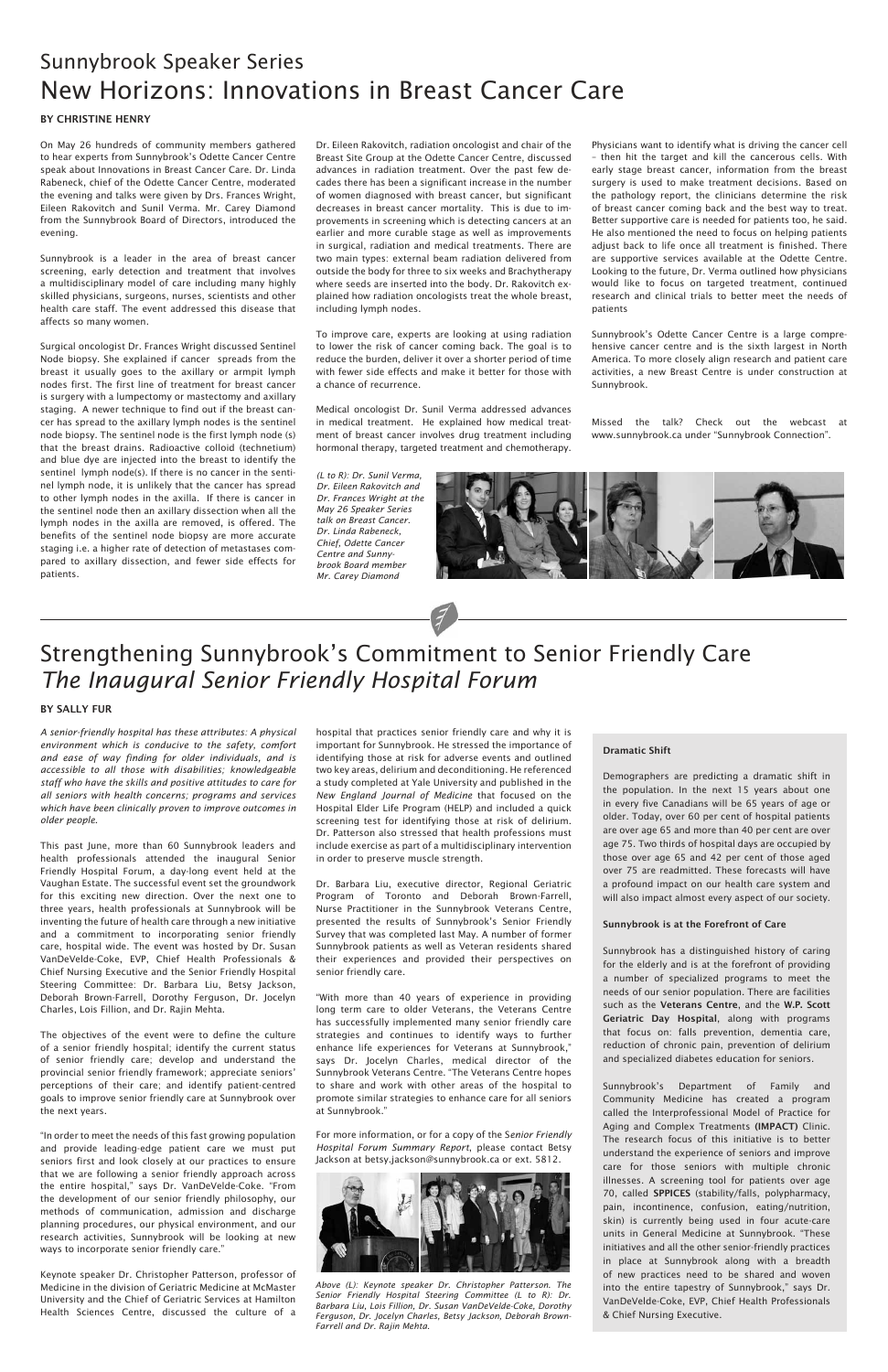On May 26 hundreds of community members gathered to hear experts from Sunnybrook's Odette Cancer Centre speak about Innovations in Breast Cancer Care. Dr. Linda Rabeneck, chief of the Odette Cancer Centre, moderated the evening and talks were given by Drs. Frances Wright, Eileen Rakovitch and Sunil Verma. Mr. Carey Diamond from the Sunnybrook Board of Directors, introduced the evening.

Sunnybrook is a leader in the area of breast cancer screening, early detection and treatment that involves a multidisciplinary model of care including many highly skilled physicians, surgeons, nurses, scientists and other health care staff. The event addressed this disease that affects so many women.

Surgical oncologist Dr. Frances Wright discussed Sentinel Node biopsy. She explained if cancer spreads from the breast it usually goes to the axillary or armpit lymph nodes first. The first line of treatment for breast cancer is surgery with a lumpectomy or mastectomy and axillary staging. A newer technique to find out if the breast cancer has spread to the axillary lymph nodes is the sentinel node biopsy. The sentinel node is the first lymph node (s) that the breast drains. Radioactive colloid (technetium) and blue dye are injected into the breast to identify the sentinel lymph node(s). If there is no cancer in the sentinel lymph node, it is unlikely that the cancer has spread to other lymph nodes in the axilla. If there is cancer in the sentinel node then an axillary dissection when all the lymph nodes in the axilla are removed, is offered. The benefits of the sentinel node biopsy are more accurate staging i.e. a higher rate of detection of metastases compared to axillary dissection, and fewer side effects for patients.

Dr. Eileen Rakovitch, radiation oncologist and chair of the Breast Site Group at the Odette Cancer Centre, discussed advances in radiation treatment. Over the past few decades there has been a significant increase in the number of women diagnosed with breast cancer, but significant decreases in breast cancer mortality. This is due to improvements in screening which is detecting cancers at an earlier and more curable stage as well as improvements in surgical, radiation and medical treatments. There are two main types: external beam radiation delivered from outside the body for three to six weeks and Brachytherapy where seeds are inserted into the body. Dr. Rakovitch explained how radiation oncologists treat the whole breast, including lymph nodes.

To improve care, experts are looking at using radiation to lower the risk of cancer coming back. The goal is to reduce the burden, deliver it over a shorter period of time with fewer side effects and make it better for those with a chance of recurrence.

Medical oncologist Dr. Sunil Verma addressed advances in medical treatment. He explained how medical treatment of breast cancer involves drug treatment including hormonal therapy, targeted treatment and chemotherapy.

# Sunnybrook Speaker Series New Horizons: Innovations in Breast Cancer Care

### BY CHRISTINE HENRY

Physicians want to identify what is driving the cancer cell – then hit the target and kill the cancerous cells. With early stage breast cancer, information from the breast surgery is used to make treatment decisions. Based on the pathology report, the clinicians determine the risk of breast cancer coming back and the best way to treat. Better supportive care is needed for patients too, he said. He also mentioned the need to focus on helping patients adjust back to life once all treatment is finished. There are supportive services available at the Odette Centre. Looking to the future, Dr. Verma outlined how physicians would like to focus on targeted treatment, continued research and clinical trials to better meet the needs of patients

Sunnybrook's Odette Cancer Centre is a large comprehensive cancer centre and is the sixth largest in North America. To more closely align research and patient care activities, a new Breast Centre is under construction at Sunnybrook.

Missed the talk? Check out the webcast at www.sunnybrook.ca under "Sunnybrook Connection".



*A senior-friendly hospital has these attributes: A physical environment which is conducive to the safety, comfort and ease of way finding for older individuals, and is accessible to all those with disabilities; knowledgeable staff who have the skills and positive attitudes to care for all seniors with health concerns; programs and services which have been clinically proven to improve outcomes in older people.*

This past June, more than 60 Sunnybrook leaders and health professionals attended the inaugural Senior Friendly Hospital Forum, a day-long event held at the Vaughan Estate. The successful event set the groundwork for this exciting new direction. Over the next one to three years, health professionals at Sunnybrook will be inventing the future of health care through a new initiative and a commitment to incorporating senior friendly care, hospital wide. The event was hosted by Dr. Susan VanDeVelde-Coke, EVP, Chief Health Professionals & Chief Nursing Executive and the Senior Friendly Hospital Steering Committee: Dr. Barbara Liu, Betsy Jackson, Deborah Brown-Farrell, Dorothy Ferguson, Dr. Jocelyn Charles, Lois Fillion, and Dr. Rajin Mehta.

The objectives of the event were to define the culture of a senior friendly hospital; identify the current status of senior friendly care; develop and understand the provincial senior friendly framework; appreciate seniors' perceptions of their care; and identify patient-centred goals to improve senior friendly care at Sunnybrook over the next years.

"In order to meet the needs of this fast growing population and provide leading-edge patient care we must put seniors first and look closely at our practices to ensure that we are following a senior friendly approach across the entire hospital," says Dr. VanDeVelde-Coke. "From the development of our senior friendly philosophy, our methods of communication, admission and discharge planning procedures, our physical environment, and our research activities, Sunnybrook will be looking at new ways to incorporate senior friendly care."

Keynote speaker Dr. Christopher Patterson, professor of Medicine in the division of Geriatric Medicine at McMaster University and the Chief of Geriatric Services at Hamilton Health Sciences Centre, discussed the culture of a

hospital that practices senior friendly care and why it is important for Sunnybrook. He stressed the importance of identifying those at risk for adverse events and outlined two key areas, delirium and deconditioning. He referenced a study completed at Yale University and published in the *New England Journal of Medicine* that focused on the Hospital Elder Life Program (HELP) and included a quick screening test for identifying those at risk of delirium. Dr. Patterson also stressed that health professions must include exercise as part of a multidisciplinary intervention in order to preserve muscle strength.

Dr. Barbara Liu, executive director, Regional Geriatric Program of Toronto and Deborah Brown-Farrell, Nurse Practitioner in the Sunnybrook Veterans Centre, presented the results of Sunnybrook's Senior Friendly Survey that was completed last May. A number of former Sunnybrook patients as well as Veteran residents shared their experiences and provided their perspectives on senior friendly care.

"With more than 40 years of experience in providing

long term care to older Veterans, the Veterans Centre has successfully implemented many senior friendly care strategies and continues to identify ways to further enhance life experiences for Veterans at Sunnybrook," says Dr. Jocelyn Charles, medical director of the Sunnybrook Veterans Centre. "The Veterans Centre hopes to share and work with other areas of the hospital to promote similar strategies to enhance care for all seniors at Sunnybrook."

For more information, or for a copy of the S*enior Friendly Hospital Forum Summary Report*, please contact Betsy Jackson at betsy.jackson@sunnybrook.ca or ext. 5812.

### Dramatic Shift

Demographers are predicting a dramatic shift in the population. In the next 15 years about one in every five Canadians will be 65 years of age or older. Today, over 60 per cent of hospital patients are over age 65 and more than 40 per cent are over age 75. Two thirds of hospital days are occupied by those over age 65 and 42 per cent of those aged over 75 are readmitted. These forecasts will have a profound impact on our health care system and will also impact almost every aspect of our society.

### Sunnybrook is at the Forefront of Care

Sunnybrook has a distinguished history of caring for the elderly and is at the forefront of providing a number of specialized programs to meet the needs of our senior population. There are facilities such as the Veterans Centre, and the W.P. Scott Geriatric Day Hospital, along with programs that focus on: falls prevention, dementia care, reduction of chronic pain, prevention of delirium and specialized diabetes education for seniors.

Sunnybrook's Department of Family and Community Medicine has created a program called the Interprofessional Model of Practice for Aging and Complex Treatments (IMPACT) Clinic. The research focus of this initiative is to better understand the experience of seniors and improve care for those seniors with multiple chronic illnesses. A screening tool for patients over age 70, called SPPICES (stability/falls, polypharmacy, pain, incontinence, confusion, eating/nutrition, skin) is currently being used in four acute-care units in General Medicine at Sunnybrook. "These initiatives and all the other senior-friendly practices in place at Sunnybrook along with a breadth of new practices need to be shared and woven into the entire tapestry of Sunnybrook," says Dr. VanDeVelde-Coke, EVP, Chief Health Professionals & Chief Nursing Executive.

# Strengthening Sunnybrook's Commitment to Senior Friendly Care *The Inaugural Senior Friendly Hospital Forum*

### By Sally Fur

*(L to R): Dr. Sunil Verma, Dr. Eileen Rakovitch and Dr. Frances Wright at the May 26 Speaker Series talk on Breast Cancer. Dr. Linda Rabeneck, Chief, Odette Cancer Centre and Sunnybrook Board member Mr. Carey Diamond* 



*Above (L): Keynote speaker Dr. Christopher Patterson. The Senior Friendly Hospital Steering Committee (L to R): Dr. Barbara Liu, Lois Fillion, Dr. Susan VanDeVelde-Coke, Dorothy Ferguson, Dr. Jocelyn Charles, Betsy Jackson, Deborah Brown-Farrell and Dr. Rajin Mehta.*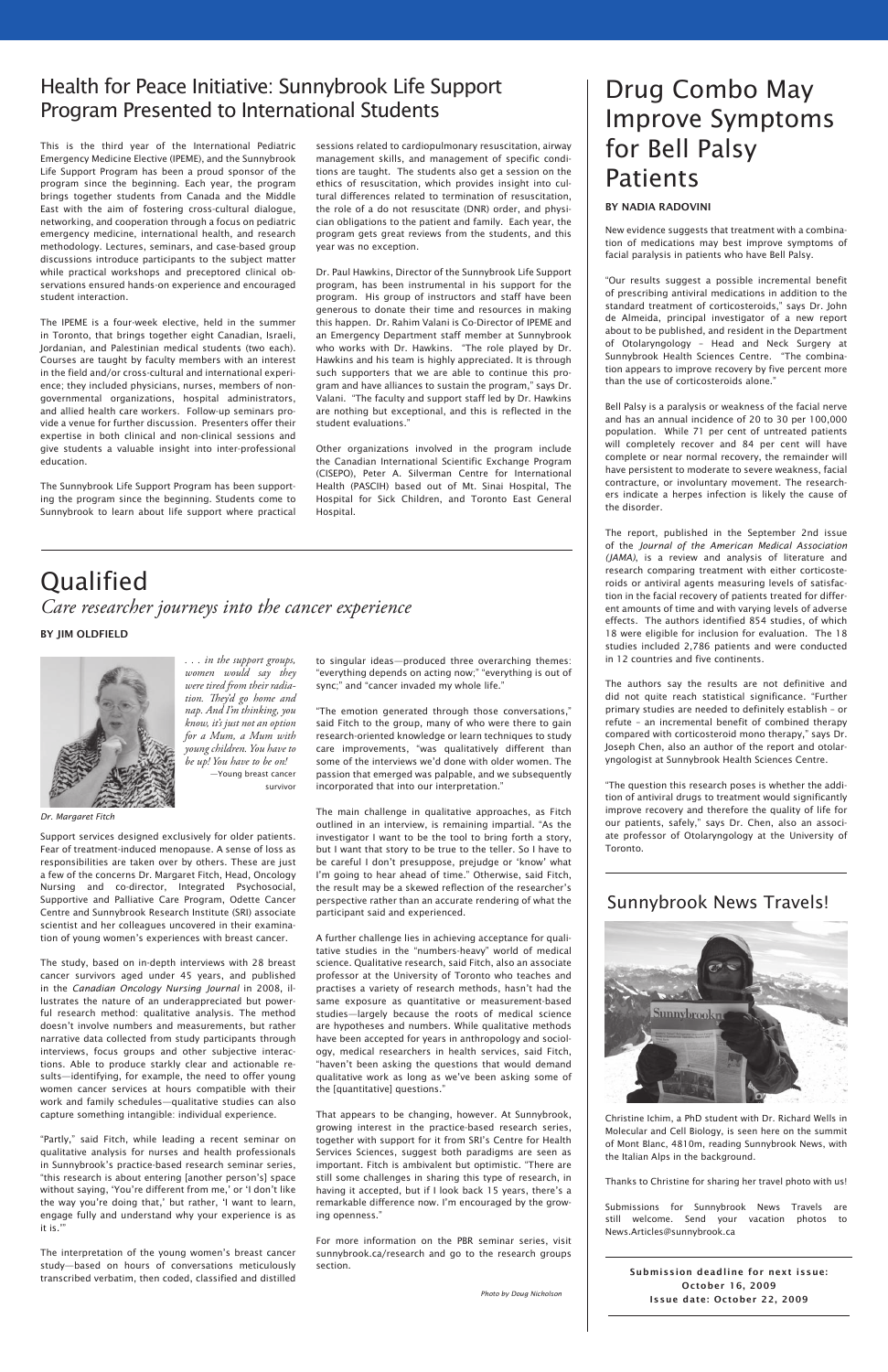# Drug Combo May Improve Symptoms for Bell Palsy Patients

### By Nadia Radovini

New evidence suggests that treatment with a combination of medications may best improve symptoms of facial paralysis in patients who have Bell Palsy.

"Our results suggest a possible incremental benefit of prescribing antiviral medications in addition to the standard treatment of corticosteroids," says Dr. John de Almeida, principal investigator of a new report about to be published, and resident in the Department of Otolaryngology – Head and Neck Surgery at Sunnybrook Health Sciences Centre. "The combination appears to improve recovery by five percent more than the use of corticosteroids alone."

Bell Palsy is a paralysis or weakness of the facial nerve and has an annual incidence of 20 to 30 per 100,000 population. While 71 per cent of untreated patients will completely recover and 84 per cent will have complete or near normal recovery, the remainder will have persistent to moderate to severe weakness, facial contracture, or involuntary movement. The researchers indicate a herpes infection is likely the cause of the disorder.

The report, published in the September 2nd issue of the *Journal of the American Medical Association (JAMA)*, is a review and analysis of literature and research comparing treatment with either corticosteroids or antiviral agents measuring levels of satisfaction in the facial recovery of patients treated for different amounts of time and with varying levels of adverse effects. The authors identified 854 studies, of which 18 were eligible for inclusion for evaluation. The 18 studies included 2,786 patients and were conducted in 12 countries and five continents.

The authors say the results are not definitive and did not quite reach statistical significance. "Further primary studies are needed to definitely establish – or refute – an incremental benefit of combined therapy compared with corticosteroid mono therapy," says Dr. Joseph Chen, also an author of the report and otolaryngologist at Sunnybrook Health Sciences Centre.

"The question this research poses is whether the addition of antiviral drugs to treatment would significantly improve recovery and therefore the quality of life for our patients, safely," says Dr. Chen, also an associate professor of Otolaryngology at the University of Toronto.

This is the third year of the International Pediatric Emergency Medicine Elective (IPEME), and the Sunnybrook Life Support Program has been a proud sponsor of the program since the beginning. Each year, the program brings together students from Canada and the Middle East with the aim of fostering cross-cultural dialogue, networking, and cooperation through a focus on pediatric emergency medicine, international health, and research methodology. Lectures, seminars, and case-based group discussions introduce participants to the subject matter while practical workshops and preceptored clinical observations ensured hands-on experience and encouraged student interaction.

The IPEME is a four-week elective, held in the summer in Toronto, that brings together eight Canadian, Israeli, Jordanian, and Palestinian medical students (two each). Courses are taught by faculty members with an interest in the field and/or cross-cultural and international experience; they included physicians, nurses, members of nongovernmental organizations, hospital administrators, and allied health care workers. Follow-up seminars provide a venue for further discussion. Presenters offer their expertise in both clinical and non-clinical sessions and give students a valuable insight into inter-professional education.

The Sunnybrook Life Support Program has been supporting the program since the beginning. Students come to Sunnybrook to learn about life support where practical

# Health for Peace Initiative: Sunnybrook Life Support Program Presented to International Students

sessions related to cardiopulmonary resuscitation, airway management skills, and management of specific conditions are taught. The students also get a session on the ethics of resuscitation, which provides insight into cultural differences related to termination of resuscitation, the role of a do not resuscitate (DNR) order, and physician obligations to the patient and family. Each year, the program gets great reviews from the students, and this year was no exception.

Dr. Paul Hawkins, Director of the Sunnybrook Life Support program, has been instrumental in his support for the program. His group of instructors and staff have been generous to donate their time and resources in making this happen. Dr. Rahim Valani is Co-Director of IPEME and an Emergency Department staff member at Sunnybrook who works with Dr. Hawkins. "The role played by Dr. Hawkins and his team is highly appreciated. It is through such supporters that we are able to continue this program and have alliances to sustain the program," says Dr. Valani. "The faculty and support staff led by Dr. Hawkins are nothing but exceptional, and this is reflected in the student evaluations."

Other organizations involved in the program include the Canadian International Scientific Exchange Program (CISEPO), Peter A. Silverman Centre for International Health (PASCIH) based out of Mt. Sinai Hospital, The Hospital for Sick Children, and Toronto East General Hospital.

# Qualified *Care researcher journeys into the cancer experience*

### By Jim Oldfield



*. . . in the support groups, women would say they were tired from their radiation. They'd go home and nap. And I'm thinking, you know, it's just not an option for a Mum, a Mum with young children. You have to be up! You have to be on!* —Young breast cancer survivor

Support services designed exclusively for older patients. Fear of treatment-induced menopause. A sense of loss as responsibilities are taken over by others. These are just a few of the concerns Dr. Margaret Fitch, Head, Oncology Nursing and co-director, Integrated Psychosocial, Supportive and Palliative Care Program, Odette Cancer Centre and Sunnybrook Research Institute (SRI) associate scientist and her colleagues uncovered in their examination of young women's experiences with breast cancer.

The study, based on in-depth interviews with 28 breast cancer survivors aged under 45 years, and published in the *Canadian Oncology Nursing Journal* in 2008, illustrates the nature of an underappreciated but power-

ful research method: qualitative analysis. The method doesn't involve numbers and measurements, but rather narrative data collected from study participants through interviews, focus groups and other subjective interactions. Able to produce starkly clear and actionable results—identifying, for example, the need to offer young women cancer services at hours compatible with their work and family schedules—qualitative studies can also capture something intangible: individual experience.

"Partly," said Fitch, while leading a recent seminar on qualitative analysis for nurses and health professionals in Sunnybrook's practice-based research seminar series, "this research is about entering [another person's] space without saying, 'You're different from me,' or 'I don't like the way you're doing that,' but rather, 'I want to learn, engage fully and understand why your experience is as it is.'"

The interpretation of the young women's breast cancer study—based on hours of conversations meticulously transcribed verbatim, then coded, classified and distilled

to singular ideas—produced three overarching themes: "everything depends on acting now;" "everything is out of sync;" and "cancer invaded my whole life."

"The emotion generated through those conversations," said Fitch to the group, many of who were there to gain research-oriented knowledge or learn techniques to study care improvements, "was qualitatively different than some of the interviews we'd done with older women. The passion that emerged was palpable, and we subsequently incorporated that into our interpretation."

The main challenge in qualitative approaches, as Fitch outlined in an interview, is remaining impartial. "As the investigator I want to be the tool to bring forth a story, but I want that story to be true to the teller. So I have to be careful I don't presuppose, prejudge or 'know' what I'm going to hear ahead of time." Otherwise, said Fitch, the result may be a skewed reflection of the researcher's perspective rather than an accurate rendering of what the participant said and experienced.

A further challenge lies in achieving acceptance for qualitative studies in the "numbers-heavy" world of medical science. Qualitative research, said Fitch, also an associate professor at the University of Toronto who teaches and practises a variety of research methods, hasn't had the same exposure as quantitative or measurement-based studies—largely because the roots of medical science are hypotheses and numbers. While qualitative methods have been accepted for years in anthropology and sociology, medical researchers in health services, said Fitch, "haven't been asking the questions that would demand qualitative work as long as we've been asking some of the [quantitative] questions."

That appears to be changing, however. At Sunnybrook, growing interest in the practice-based research series, together with support for it from SRI's Centre for Health Services Sciences, suggest both paradigms are seen as important. Fitch is ambivalent but optimistic. "There are still some challenges in sharing this type of research, in having it accepted, but if I look back 15 years, there's a remarkable difference now. I'm encouraged by the growing openness."

For more information on the PBR seminar series, visit sunnybrook.ca/research and go to the research groups section.

# Sunnybrook News Travels!



Christine Ichim, a PhD student with Dr. Richard Wells in Molecular and Cell Biology, is seen here on the summit of Mont Blanc, 4810m, reading Sunnybrook News, with the Italian Alps in the background.

Thanks to Christine for sharing her travel photo with us!

Submissions for Sunnybrook News Travels are still welcome. Send your vacation photos to News.Articles@sunnybrook.ca

> Submission deadline for next issue: October 16, 2009 Issue date: October 22, 2009

*Dr. Margaret Fitch*

*Photo by Doug Nicholson*